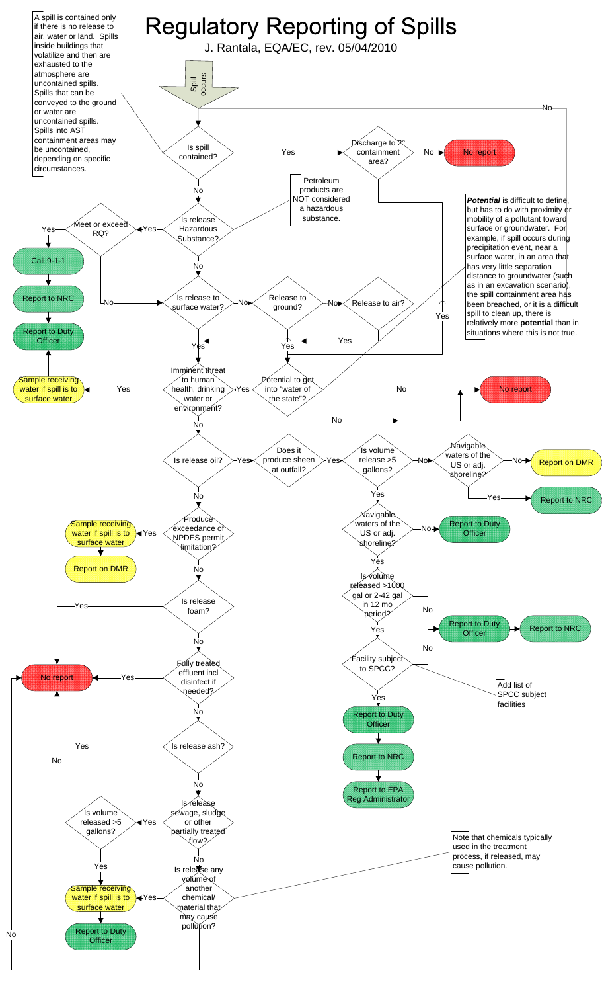